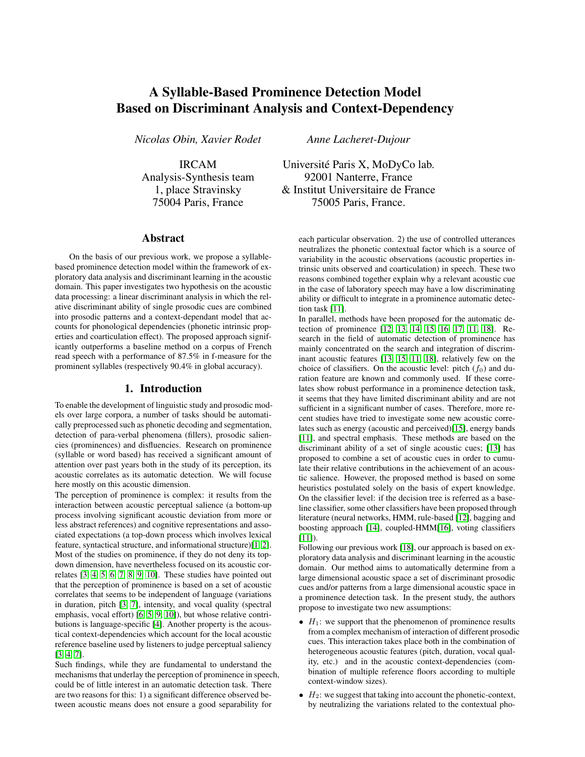# A Syllable-Based Prominence Detection Model Based on Discriminant Analysis and Context-Dependency

*Nicolas Obin, Xavier Rodet*

IRCAM Analysis-Synthesis team 1, place Stravinsky 75004 Paris, France

# Abstract

On the basis of our previous work, we propose a syllablebased prominence detection model within the framework of exploratory data analysis and discriminant learning in the acoustic domain. This paper investigates two hypothesis on the acoustic data processing: a linear discriminant analysis in which the relative discriminant ability of single prosodic cues are combined into prosodic patterns and a context-dependant model that accounts for phonological dependencies (phonetic intrinsic properties and coarticulation effect). The proposed approach significantly outperforms a baseline method on a corpus of French read speech with a performance of 87.5% in f-measure for the prominent syllables (respectively 90.4% in global accuracy).

## 1. Introduction

To enable the development of linguistic study and prosodic models over large corpora, a number of tasks should be automatically preprocessed such as phonetic decoding and segmentation, detection of para-verbal phenomena (fillers), prosodic saliencies (prominences) and disfluencies. Research on prominence (syllable or word based) has received a significant amount of attention over past years both in the study of its perception, its acoustic correlates as its automatic detection. We will focuse here mostly on this acoustic dimension.

The perception of prominence is complex: it results from the interaction between acoustic perceptual salience (a bottom-up process involving significant acoustic deviation from more or less abstract references) and cognitive representations and associated expectations (a top-down process which involves lexical feature, syntactical structure, and informational structure)[\[1,](#page-3-0) [2\]](#page-3-1). Most of the studies on prominence, if they do not deny its topdown dimension, have nevertheless focused on its acoustic correlates [\[3,](#page-3-2) [4,](#page-3-3) [5,](#page-3-4) [6,](#page-3-5) [7,](#page-3-6) [8,](#page-3-7) [9,](#page-3-8) [10\]](#page-3-9). These studies have pointed out that the perception of prominence is based on a set of acoustic correlates that seems to be independent of language (variations in duration, pitch [\[3,](#page-3-2) [7\]](#page-3-6), intensity, and vocal quality (spectral emphasis, vocal effort) [\[6,](#page-3-5) [5,](#page-3-4) [9,](#page-3-8) [10\]](#page-3-9)), but whose relative contributions is language-specific [\[4\]](#page-3-3). Another property is the acoustical context-dependencies which account for the local acoustic reference baseline used by listeners to judge perceptual saliency [\[3,](#page-3-2) [4,](#page-3-3) [7\]](#page-3-6).

Such findings, while they are fundamental to understand the mechanisms that underlay the perception of prominence in speech, could be of little interest in an automatic detection task. There are two reasons for this: 1) a significant difference observed between acoustic means does not ensure a good separability for

*Anne Lacheret-Dujour*

Universite Paris X, MoDyCo lab. ´ 92001 Nanterre, France & Institut Universitaire de France 75005 Paris, France.

> each particular observation. 2) the use of controlled utterances neutralizes the phonetic contextual factor which is a source of variability in the acoustic observations (acoustic properties intrinsic units observed and coarticulation) in speech. These two reasons combined together explain why a relevant acoustic cue in the case of laboratory speech may have a low discriminating ability or difficult to integrate in a prominence automatic detection task [\[11\]](#page-3-10).

> In parallel, methods have been proposed for the automatic detection of prominence [\[12,](#page-3-11) [13,](#page-3-12) [14,](#page-3-13) [15,](#page-3-14) [16,](#page-3-15) [17,](#page-3-16) [11,](#page-3-10) [18\]](#page-3-17). Research in the field of automatic detection of prominence has mainly concentrated on the search and integration of discriminant acoustic features [\[13,](#page-3-12) [15,](#page-3-14) [11,](#page-3-10) [18\]](#page-3-17), relatively few on the choice of classifiers. On the acoustic level: pitch  $(f_0)$  and duration feature are known and commonly used. If these correlates show robust performance in a prominence detection task, it seems that they have limited discriminant ability and are not sufficient in a significant number of cases. Therefore, more recent studies have tried to investigate some new acoustic correlates such as energy (acoustic and perceived)[\[15\]](#page-3-14), energy bands [\[11\]](#page-3-10), and spectral emphasis. These methods are based on the discriminant ability of a set of single acoustic cues; [\[13\]](#page-3-12) has proposed to combine a set of acoustic cues in order to cumulate their relative contributions in the achievement of an acoustic salience. However, the proposed method is based on some heuristics postulated solely on the basis of expert knowledge. On the classifier level: if the decision tree is referred as a baseline classifier, some other classifiers have been proposed through literature (neural networks, HMM, rule-based [\[12\]](#page-3-11), bagging and boosting approach [\[14\]](#page-3-13), coupled-HMM[\[16\]](#page-3-15), voting classifiers  $[11]$ ).

> Following our previous work [\[18\]](#page-3-17), our approach is based on exploratory data analysis and discriminant learning in the acoustic domain. Our method aims to automatically determine from a large dimensional acoustic space a set of discriminant prosodic cues and/or patterns from a large dimensional acoustic space in a prominence detection task. In the present study, the authors propose to investigate two new assumptions:

- $H_1$ : we support that the phenomenon of prominence results from a complex mechanism of interaction of different prosodic cues. This interaction takes place both in the combination of heterogeneous acoustic features (pitch, duration, vocal quality, etc.) and in the acoustic context-dependencies (combination of multiple reference floors according to multiple context-window sizes).
- $\bullet$   $H_2$ : we suggest that taking into account the phonetic-context, by neutralizing the variations related to the contextual pho-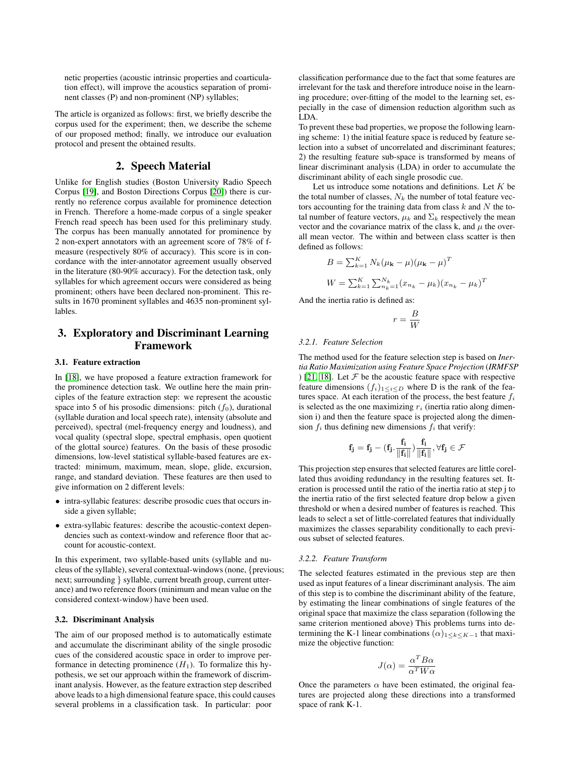netic properties (acoustic intrinsic properties and coarticulation effect), will improve the acoustics separation of prominent classes (P) and non-prominent (NP) syllables;

The article is organized as follows: first, we briefly describe the corpus used for the experiment; then, we describe the scheme of our proposed method; finally, we introduce our evaluation protocol and present the obtained results.

# 2. Speech Material

<span id="page-1-0"></span>Unlike for English studies (Boston University Radio Speech Corpus [\[19\]](#page-3-18), and Boston Directions Corpus [\[20\]](#page-3-19)) there is currently no reference corpus available for prominence detection in French. Therefore a home-made corpus of a single speaker French read speech has been used for this preliminary study. The corpus has been manually annotated for prominence by 2 non-expert annotators with an agreement score of 78% of fmeasure (respectively 80% of accuracy). This score is in concordance with the inter-annotator agreement usually observed in the literature (80-90% accuracy). For the detection task, only syllables for which agreement occurs were considered as being prominent; others have been declared non-prominent. This results in 1670 prominent syllables and 4635 non-prominent syllables.

# 3. Exploratory and Discriminant Learning Framework

### 3.1. Feature extraction

In [\[18\]](#page-3-17), we have proposed a feature extraction framework for the prominence detection task. We outline here the main principles of the feature extraction step: we represent the acoustic space into 5 of his prosodic dimensions: pitch  $(f_0)$ , durational (syllable duration and local speech rate), intensity (absolute and perceived), spectral (mel-frequency energy and loudness), and vocal quality (spectral slope, spectral emphasis, open quotient of the glottal source) features. On the basis of these prosodic dimensions, low-level statistical syllable-based features are extracted: minimum, maximum, mean, slope, glide, excursion, range, and standard deviation. These features are then used to give information on 2 different levels:

- intra-syllabic features: describe prosodic cues that occurs inside a given syllable;
- extra-syllabic features: describe the acoustic-context dependencies such as context-window and reference floor that account for acoustic-context.

In this experiment, two syllable-based units (syllable and nucleus of the syllable), several contextual-windows (none, {previous; next; surrounding } syllable, current breath group, current utterance) and two reference floors (minimum and mean value on the considered context-window) have been used.

#### 3.2. Discriminant Analysis

The aim of our proposed method is to automatically estimate and accumulate the discriminant ability of the single prosodic cues of the considered acoustic space in order to improve performance in detecting prominence  $(H_1)$ . To formalize this hypothesis, we set our approach within the framework of discriminant analysis. However, as the feature extraction step described above leads to a high dimensional feature space, this could causes several problems in a classification task. In particular: poor

classification performance due to the fact that some features are irrelevant for the task and therefore introduce noise in the learning procedure; over-fitting of the model to the learning set, especially in the case of dimension reduction algorithm such as LDA.

To prevent these bad properties, we propose the following learning scheme: 1) the initial feature space is reduced by feature selection into a subset of uncorrelated and discriminant features; 2) the resulting feature sub-space is transformed by means of linear discriminant analysis (LDA) in order to accumulate the discriminant ability of each single prosodic cue.

Let us introduce some notations and definitions. Let  $K$  be the total number of classes,  $N_k$  the number of total feature vectors accounting for the training data from class  $k$  and  $N$  the total number of feature vectors,  $\mu_k$  and  $\Sigma_k$  respectively the mean vector and the covariance matrix of the class k, and  $\mu$  the overall mean vector. The within and between class scatter is then defined as follows:

$$
B = \sum_{k=1}^{K} N_k (\mu_k - \mu) (\mu_k - \mu)^T
$$
  

$$
W = \sum_{k=1}^{K} \sum_{n_k=1}^{N_k} (x_{n_k} - \mu_k) (x_{n_k} - \mu_k)^T
$$

And the inertia ratio is defined as:

$$
r = \frac{B}{W}
$$

#### *3.2.1. Feature Selection*

The method used for the feature selection step is based on *Inertia Ratio Maximization using Feature Space Projection* (*IRMFSP* ) [\[21,](#page-3-20) [18\]](#page-3-17). Let  $\mathcal F$  be the acoustic feature space with respective feature dimensions  $(f_i)_{1 \leq i \leq D}$  where D is the rank of the features space. At each iteration of the process, the best feature  $f_i$ is selected as the one maximizing  $r_i$  (inertia ratio along dimension i) and then the feature space is projected along the dimension  $f_i$  thus defining new dimensions  $f_i$  that verify:

$$
\mathbf{f}_j = \mathbf{f}_j - (\mathbf{f}_j.\frac{\mathbf{f}_i}{\|\mathbf{f}_i\|})\frac{\mathbf{f}_i}{\|\mathbf{f}_i\|}, \forall \mathbf{f}_j \in \mathcal{F}
$$

This projection step ensures that selected features are little corellated thus avoiding redundancy in the resulting features set. Iteration is processed until the ratio of the inertia ratio at step j to the inertia ratio of the first selected feature drop below a given threshold or when a desired number of features is reached. This leads to select a set of little-correlated features that individually maximizes the classes separability conditionally to each previous subset of selected features.

#### *3.2.2. Feature Transform*

The selected features estimated in the previous step are then used as input features of a linear discriminant analysis. The aim of this step is to combine the discriminant ability of the feature, by estimating the linear combinations of single features of the original space that maximize the class separation (following the same criterion mentioned above) This problems turns into determining the K-1 linear combinations  $(\alpha)_{1 \leq k \leq K-1}$  that maximize the objective function:

$$
J(\alpha)=\frac{\alpha^TB\alpha}{\alpha^TW\alpha}
$$

Once the parameters  $\alpha$  have been estimated, the original features are projected along these directions into a transformed space of rank K-1.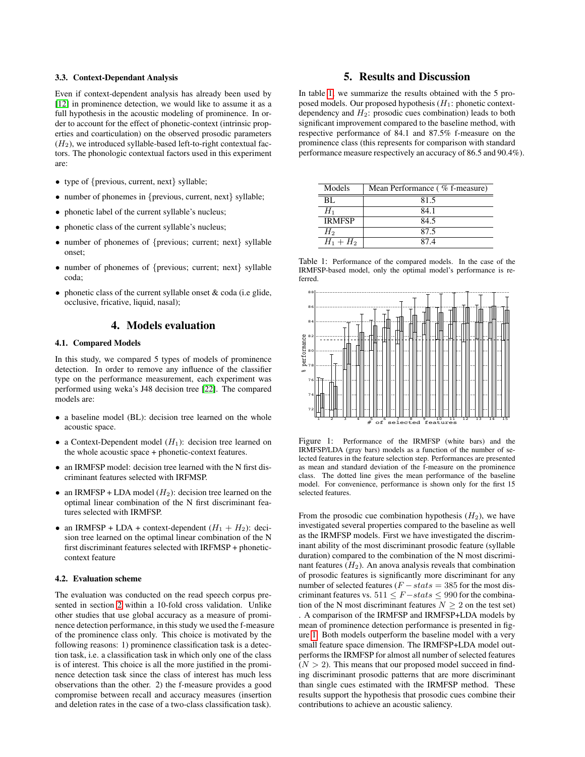#### 3.3. Context-Dependant Analysis

Even if context-dependent analysis has already been used by [\[12\]](#page-3-11) in prominence detection, we would like to assume it as a full hypothesis in the acoustic modeling of prominence. In order to account for the effect of phonetic-context (intrinsic properties and coarticulation) on the observed prosodic parameters  $(H<sub>2</sub>)$ , we introduced syllable-based left-to-right contextual factors. The phonologic contextual factors used in this experiment are:

- type of {previous, current, next} syllable;
- number of phonemes in {previous, current, next} syllable;
- phonetic label of the current syllable's nucleus;
- phonetic class of the current syllable's nucleus;
- number of phonemes of {previous; current; next} syllable onset;
- number of phonemes of {previous; current; next} syllable coda;
- phonetic class of the current syllable onset  $&$  coda (i.e glide, occlusive, fricative, liquid, nasal);

# 4. Models evaluation

#### 4.1. Compared Models

In this study, we compared 5 types of models of prominence detection. In order to remove any influence of the classifier type on the performance measurement, each experiment was performed using weka's J48 decision tree [\[22\]](#page-3-21). The compared models are:

- a baseline model (BL): decision tree learned on the whole acoustic space.
- a Context-Dependent model  $(H_1)$ : decision tree learned on the whole acoustic space + phonetic-context features.
- an IRMFSP model: decision tree learned with the N first discriminant features selected with IRFMSP.
- an IRMFSP + LDA model  $(H_2)$ : decision tree learned on the optimal linear combination of the N first discriminant features selected with IRMFSP.
- an IRMFSP + LDA + context-dependent  $(H_1 + H_2)$ : decision tree learned on the optimal linear combination of the N first discriminant features selected with IRFMSP + phoneticcontext feature

## 4.2. Evaluation scheme

The evaluation was conducted on the read speech corpus presented in section [2](#page-1-0) within a 10-fold cross validation. Unlike other studies that use global accuracy as a measure of prominence detection performance, in this study we used the f-measure of the prominence class only. This choice is motivated by the following reasons: 1) prominence classification task is a detection task, i.e. a classification task in which only one of the class is of interest. This choice is all the more justified in the prominence detection task since the class of interest has much less observations than the other. 2) the f-measure provides a good compromise between recall and accuracy measures (insertion and deletion rates in the case of a two-class classification task).

# 5. Results and Discussion

In table [1,](#page-2-0) we summarize the results obtained with the 5 proposed models. Our proposed hypothesis  $(H_1:$  phonetic contextdependency and  $H_2$ : prosodic cues combination) leads to both significant improvement compared to the baseline method, with respective performance of 84.1 and 87.5% f-measure on the prominence class (this represents for comparison with standard performance measure respectively an accuracy of 86.5 and 90.4%).

| Models        | Mean Performance (% f-measure) |
|---------------|--------------------------------|
| BL.           | 81.5                           |
| $H_1$         | 84.1                           |
| <b>IRMFSP</b> | 84.5                           |
| H2            | 87.5                           |
| $H_1 + H_2$   | 874                            |

<span id="page-2-0"></span>Table 1: Performance of the compared models. In the case of the IRMFSP-based model, only the optimal model's performance is referred.



<span id="page-2-1"></span>Figure 1: Performance of the IRMFSP (white bars) and the IRMFSP/LDA (gray bars) models as a function of the number of selected features in the feature selection step. Performances are presented as mean and standard deviation of the f-measure on the prominence class. The dotted line gives the mean performance of the baseline model. For convenience, performance is shown only for the first 15 selected features.

From the prosodic cue combination hypothesis  $(H_2)$ , we have investigated several properties compared to the baseline as well as the IRMFSP models. First we have investigated the discriminant ability of the most discriminant prosodic feature (syllable duration) compared to the combination of the N most discriminant features  $(H_2)$ . An anova analysis reveals that combination of prosodic features is significantly more discriminant for any number of selected features ( $F - stats = 385$  for the most discriminant features vs.  $511 \leq F - \text{stats} \leq 990$  for the combination of the N most discriminant features  $N \geq 2$  on the test set) . A comparison of the IRMFSP and IRMFSP+LDA models by mean of prominence detection performance is presented in figure [1.](#page-2-1) Both models outperform the baseline model with a very small feature space dimension. The IRMFSP+LDA model outperforms the IRMFSP for almost all number of selected features  $(N > 2)$ . This means that our proposed model succeed in finding discriminant prosodic patterns that are more discriminant than single cues estimated with the IRMFSP method. These results support the hypothesis that prosodic cues combine their contributions to achieve an acoustic saliency.